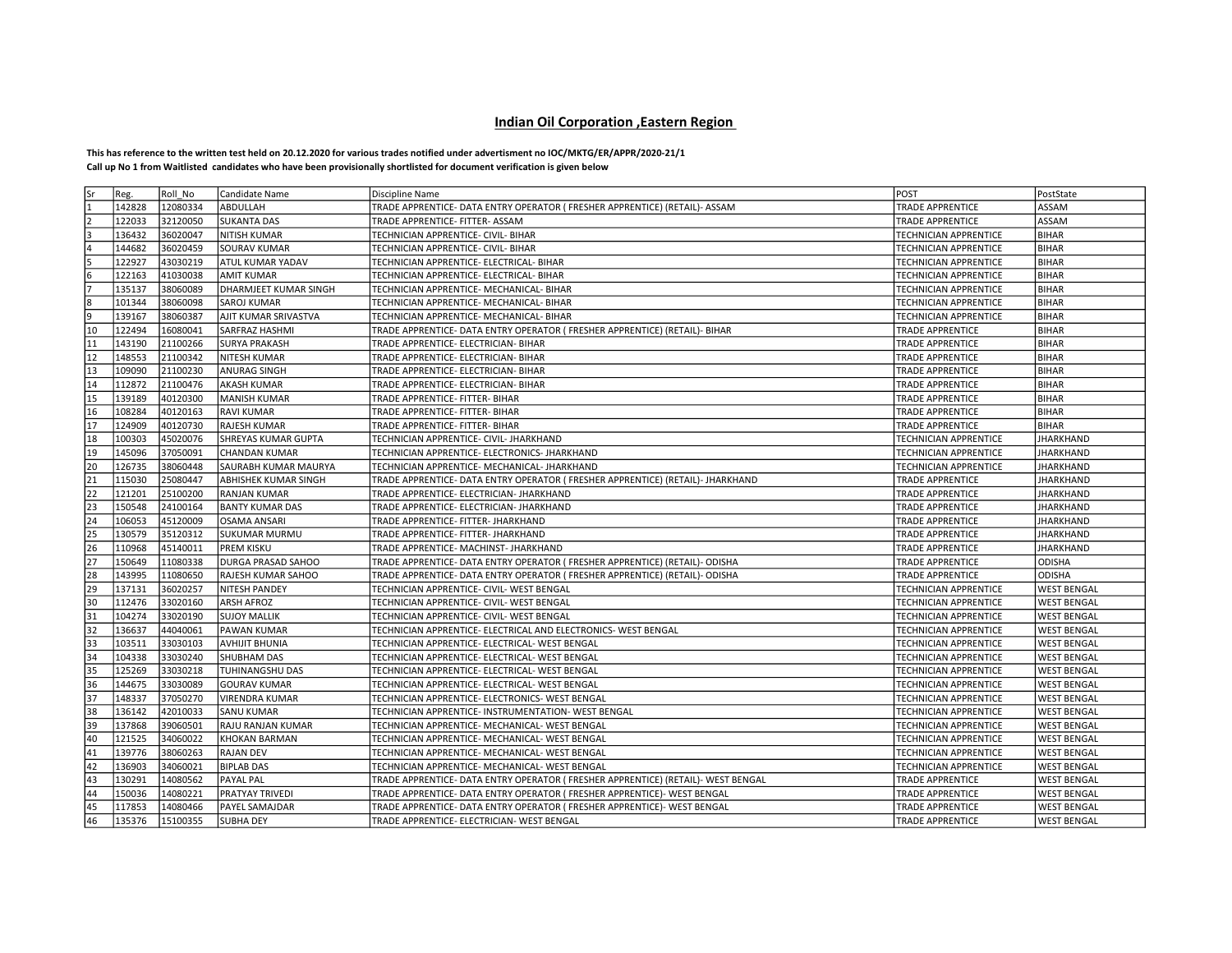## Indian Oil Corporation ,Eastern Region

## This has reference to the written test held on 20.12.2020 for various trades notified under advertisment no IOC/MKTG/ER/APPR/2020-21/1 Call up No 1 from Waitlisted candidates who have been provisionally shortlisted for document verification is given below

| Sr             | Reg.   | Roll No  | Candidate Name              | Discipline Name                                                                   | POST                         | PostState          |
|----------------|--------|----------|-----------------------------|-----------------------------------------------------------------------------------|------------------------------|--------------------|
| 1              | 142828 | 12080334 | ABDULLAH                    | TRADE APPRENTICE- DATA ENTRY OPERATOR ( FRESHER APPRENTICE) (RETAIL)- ASSAM       | <b>TRADE APPRENTICE</b>      | ASSAM              |
| $\overline{2}$ | 122033 | 32120050 | <b>SUKANTA DAS</b>          | TRADE APPRENTICE- FITTER- ASSAM                                                   | TRADE APPRENTICE             | ASSAM              |
| ١R             | 136432 | 36020047 | <b>NITISH KUMAR</b>         | TECHNICIAN APPRENTICE- CIVIL- BIHAR                                               | TECHNICIAN APPRENTICE        | <b>BIHAR</b>       |
| l4             | 144682 | 36020459 | <b>SOURAV KUMAR</b>         | TECHNICIAN APPRENTICE- CIVIL- BIHAR                                               | <b>TECHNICIAN APPRENTICE</b> | <b>BIHAR</b>       |
| 5              | 122927 | 43030219 | <b>ATUL KUMAR YADAV</b>     | TECHNICIAN APPRENTICE- ELECTRICAL- BIHAR                                          | TECHNICIAN APPRENTICE        | <b>BIHAR</b>       |
| 6              | 122163 | 41030038 | <b>AMIT KUMAR</b>           | TECHNICIAN APPRENTICE- ELECTRICAL- BIHAR                                          | TECHNICIAN APPRENTICE        | <b>BIHAR</b>       |
| 17             | 135137 | 38060089 | DHARMJEET KUMAR SINGH       | TECHNICIAN APPRENTICE- MECHANICAL- BIHAR                                          | TECHNICIAN APPRENTICE        | <b>BIHAR</b>       |
| l8             | 101344 | 38060098 | <b>SAROJ KUMAR</b>          | TECHNICIAN APPRENTICE- MECHANICAL- BIHAR                                          | TECHNICIAN APPRENTICE        | <b>BIHAR</b>       |
| l9             | 139167 | 38060387 | <b>AJIT KUMAR SRIVASTVA</b> | TECHNICIAN APPRENTICE- MECHANICAL- BIHAR                                          | TECHNICIAN APPRENTICE        | <b>BIHAR</b>       |
| 10             | 122494 | 16080041 | <b>SARFRAZ HASHMI</b>       | TRADE APPRENTICE- DATA ENTRY OPERATOR (FRESHER APPRENTICE) (RETAIL)- BIHAR        | <b>TRADE APPRENTICE</b>      | <b>BIHAR</b>       |
| 11             | 143190 | 21100266 | <b>SURYA PRAKASH</b>        | TRADE APPRENTICE- ELECTRICIAN- BIHAR                                              | <b>TRADE APPRENTICE</b>      | <b>BIHAR</b>       |
| 12             | 148553 | 21100342 | NITESH KUMAR                | TRADE APPRENTICE- ELECTRICIAN- BIHAR                                              | TRADE APPRENTICE             | <b>BIHAR</b>       |
| 13             | 109090 | 21100230 | <b>ANURAG SINGH</b>         | TRADE APPRENTICE- ELECTRICIAN- BIHAR                                              | TRADE APPRENTICE             | <b>BIHAR</b>       |
| 14             | 112872 | 21100476 | <b>AKASH KUMAR</b>          | TRADE APPRENTICE- ELECTRICIAN- BIHAR                                              | <b>TRADE APPRENTICE</b>      | <b>BIHAR</b>       |
| 15             | 139189 | 40120300 | <b>MANISH KUMAR</b>         | TRADE APPRENTICE- FITTER- BIHAR                                                   | <b>TRADE APPRENTICE</b>      | <b>BIHAR</b>       |
| 16             | 108284 | 40120163 | <b>RAVI KUMAR</b>           | TRADE APPRENTICE- FITTER- BIHAR                                                   | TRADE APPRENTICE             | <b>BIHAR</b>       |
| 17             | 124909 | 40120730 | <b>RAJESH KUMAR</b>         | TRADE APPRENTICE- FITTER- BIHAR                                                   | TRADE APPRENTICE             | <b>BIHAR</b>       |
| 18             | 100303 | 45020076 | <b>SHREYAS KUMAR GUPTA</b>  | TECHNICIAN APPRENTICE- CIVIL- JHARKHAND                                           | TECHNICIAN APPRENTICE        | <b>JHARKHAND</b>   |
| $ 19\rangle$   | 145096 | 37050091 | <b>CHANDAN KUMAR</b>        | TECHNICIAN APPRENTICE- ELECTRONICS- JHARKHAND                                     | <b>TECHNICIAN APPRENTICE</b> | <b>JHARKHAND</b>   |
| 20             | 126735 | 38060448 | <b>SAURABH KUMAR MAURYA</b> | TECHNICIAN APPRENTICE- MECHANICAL- JHARKHAND                                      | <b>TECHNICIAN APPRENTICE</b> | <b>JHARKHAND</b>   |
| 21             | 115030 | 25080447 | ABHISHEK KUMAR SINGH        | TRADE APPRENTICE- DATA ENTRY OPERATOR ( FRESHER APPRENTICE) (RETAIL)- JHARKHAND   | <b>TRADE APPRENTICE</b>      | <b>JHARKHAND</b>   |
| 22             | 121201 | 25100200 | <b>RANJAN KUMAR</b>         | TRADE APPRENTICE- ELECTRICIAN- JHARKHAND                                          | TRADE APPRENTICE             | <b>JHARKHAND</b>   |
| 23             | 150548 | 24100164 | <b>BANTY KUMAR DAS</b>      | TRADE APPRENTICE- ELECTRICIAN- JHARKHAND                                          | <b>TRADE APPRENTICE</b>      | <b>JHARKHAND</b>   |
| 24             | 106053 | 45120009 | <b>OSAMA ANSARI</b>         | TRADE APPRENTICE- FITTER- JHARKHAND                                               | TRADE APPRENTICE             | JHARKHAND          |
| 25             | 130579 | 35120312 | <b>SUKUMAR MURMU</b>        | TRADE APPRENTICE- FITTER- JHARKHAND                                               | <b>TRADE APPRENTICE</b>      | <b>JHARKHAND</b>   |
| 26             | 110968 | 45140011 | <b>PREM KISKU</b>           | TRADE APPRENTICE- MACHINST- JHARKHAND                                             | TRADE APPRENTICE             | <b>JHARKHAND</b>   |
| 27             | 150649 | 11080338 | DURGA PRASAD SAHOO          | TRADE APPRENTICE- DATA ENTRY OPERATOR ( FRESHER APPRENTICE) (RETAIL)- ODISHA      | <b>TRADE APPRENTICE</b>      | <b>ODISHA</b>      |
| 28             | 143995 | 11080650 | RAJESH KUMAR SAHOO          | TRADE APPRENTICE- DATA ENTRY OPERATOR ( FRESHER APPRENTICE) (RETAIL)- ODISHA      | <b>TRADE APPRENTICE</b>      | <b>ODISHA</b>      |
| 29             | 137131 | 36020257 | <b>NITESH PANDEY</b>        | TECHNICIAN APPRENTICE- CIVIL- WEST BENGAL                                         | TECHNICIAN APPRENTICE        | <b>WEST BENGAL</b> |
| 30             | 112476 | 33020160 | <b>ARSH AFROZ</b>           | TECHNICIAN APPRENTICE- CIVIL- WEST BENGAL                                         | TECHNICIAN APPRENTICE        | <b>WEST BENGAL</b> |
| 31             | 104274 | 33020190 | <b>SUJOY MALLIK</b>         | TECHNICIAN APPRENTICE- CIVIL- WEST BENGAL                                         | TECHNICIAN APPRENTICE        | <b>WEST BENGAL</b> |
| 32             | 136637 | 44040061 | <b>PAWAN KUMAR</b>          | TECHNICIAN APPRENTICE- ELECTRICAL AND ELECTRONICS- WEST BENGAL                    | <b>TECHNICIAN APPRENTICE</b> | <b>WEST BENGAL</b> |
| 33             | 103511 | 33030103 | <b>AVHIJIT BHUNIA</b>       | TECHNICIAN APPRENTICE- ELECTRICAL- WEST BENGAL                                    | TECHNICIAN APPRENTICE        | <b>WEST BENGAL</b> |
| 34             | 104338 | 33030240 | <b>SHUBHAM DAS</b>          | TECHNICIAN APPRENTICE- ELECTRICAL- WEST BENGAL                                    | TECHNICIAN APPRENTICE        | <b>WEST BENGAL</b> |
| 35             | 125269 | 33030218 | <b>TUHINANGSHU DAS</b>      | TECHNICIAN APPRENTICE- ELECTRICAL- WEST BENGAL                                    | TECHNICIAN APPRENTICE        | <b>WEST BENGAL</b> |
| 36             | 144675 | 33030089 | <b>GOURAV KUMAR</b>         | TECHNICIAN APPRENTICE- ELECTRICAL- WEST BENGAL                                    | TECHNICIAN APPRENTICE        | <b>WEST BENGAL</b> |
| 37             | 148337 | 37050270 | <b>VIRENDRA KUMAR</b>       | TECHNICIAN APPRENTICE- ELECTRONICS- WEST BENGAL                                   | <b>TECHNICIAN APPRENTICE</b> | <b>WEST BENGAL</b> |
| 38             | 136142 | 42010033 | <b>SANU KUMAR</b>           | TECHNICIAN APPRENTICE- INSTRUMENTATION- WEST BENGAL                               | TECHNICIAN APPRENTICE        | <b>WEST BENGAL</b> |
| 39             | 137868 | 39060501 | RAJU RANJAN KUMAR           | TECHNICIAN APPRENTICE- MECHANICAL- WEST BENGAL                                    | TECHNICIAN APPRENTICE        | <b>WEST BENGAL</b> |
| 40             | 121525 | 34060022 | <b>KHOKAN BARMAN</b>        | TECHNICIAN APPRENTICE- MECHANICAL- WEST BENGAL                                    | TECHNICIAN APPRENTICE        | <b>WEST BENGAL</b> |
| 41             | 139776 | 38060263 | <b>RAJAN DEV</b>            | TECHNICIAN APPRENTICE- MECHANICAL- WEST BENGAL                                    | TECHNICIAN APPRENTICE        | <b>WEST BENGAL</b> |
| 42             | 136903 | 34060021 | <b>BIPLAB DAS</b>           | TECHNICIAN APPRENTICE- MECHANICAL- WEST BENGAL                                    | TECHNICIAN APPRENTICE        | <b>WEST BENGAL</b> |
| 43             | 130291 | 14080562 | PAYAL PAL                   | TRADE APPRENTICE- DATA ENTRY OPERATOR ( FRESHER APPRENTICE) (RETAIL)- WEST BENGAL | <b>TRADE APPRENTICE</b>      | <b>WEST BENGAL</b> |
| 44             | 150036 | 14080221 | PRATYAY TRIVEDI             | TRADE APPRENTICE- DATA ENTRY OPERATOR ( FRESHER APPRENTICE)- WEST BENGAL          | <b>TRADE APPRENTICE</b>      | <b>WEST BENGAL</b> |
| 45             | 117853 | 14080466 | PAYEL SAMAJDAR              | TRADE APPRENTICE- DATA ENTRY OPERATOR ( FRESHER APPRENTICE)- WEST BENGAL          | <b>TRADE APPRENTICE</b>      | <b>WEST BENGAL</b> |
| 46             | 135376 | 15100355 | <b>SUBHA DEY</b>            | TRADE APPRENTICE- ELECTRICIAN- WEST BENGAL                                        | <b>TRADE APPRENTICE</b>      | <b>WEST BENGAL</b> |